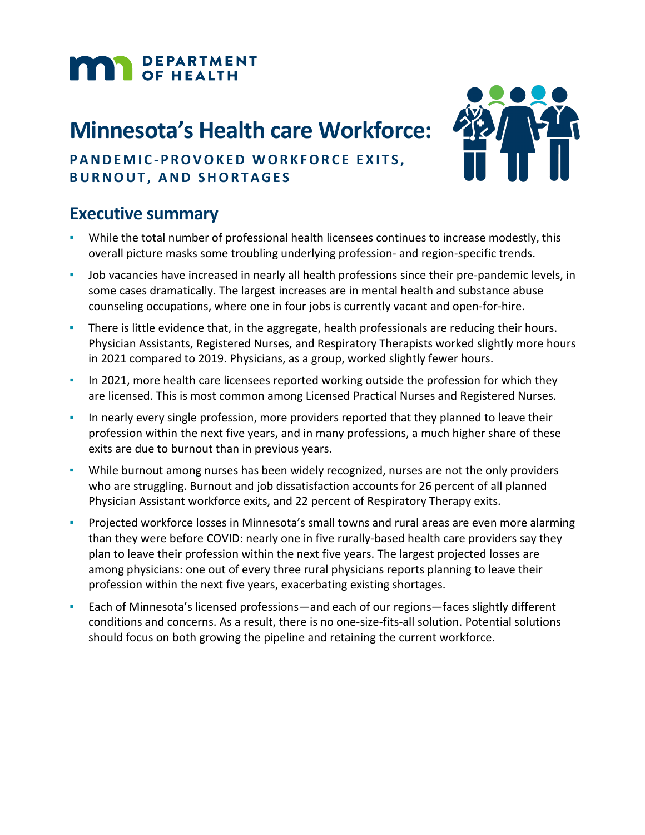# **MAR** DEPARTMENT

# **Minnesota's Health care Workforce:**



## **PANDEMIC - PROVOKED WORKFORCE EXITS, BURNOUT, AND SHORTAGES**

## **Executive summary**

- While the total number of professional health licensees continues to increase modestly, this overall picture masks some troubling underlying profession- and region-specific trends.
- Job vacancies have increased in nearly all health professions since their pre-pandemic levels, in some cases dramatically. The largest increases are in mental health and substance abuse counseling occupations, where one in four jobs is currently vacant and open-for-hire.
- **•** There is little evidence that, in the aggregate, health professionals are reducing their hours. Physician Assistants, Registered Nurses, and Respiratory Therapists worked slightly more hours in 2021 compared to 2019. Physicians, as a group, worked slightly fewer hours.
- **In 2021, more health care licensees reported working outside the profession for which they** are licensed. This is most common among Licensed Practical Nurses and Registered Nurses.
- In nearly every single profession, more providers reported that they planned to leave their profession within the next five years, and in many professions, a much higher share of these exits are due to burnout than in previous years.
- While burnout among nurses has been widely recognized, nurses are not the only providers who are struggling. Burnout and job dissatisfaction accounts for 26 percent of all planned Physician Assistant workforce exits, and 22 percent of Respiratory Therapy exits.
- Projected workforce losses in Minnesota's small towns and rural areas are even more alarming than they were before COVID: nearly one in five rurally-based health care providers say they plan to leave their profession within the next five years. The largest projected losses are among physicians: one out of every three rural physicians reports planning to leave their profession within the next five years, exacerbating existing shortages.
- Each of Minnesota's licensed professions—and each of our regions—faces slightly different conditions and concerns. As a result, there is no one-size-fits-all solution. Potential solutions should focus on both growing the pipeline and retaining the current workforce.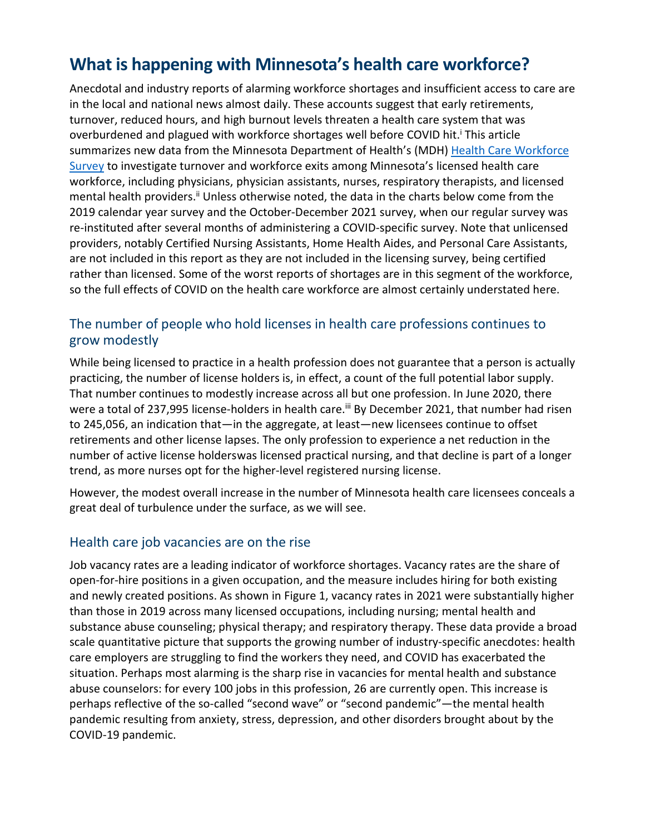# **What is happening with Minnesota's health care workforce?**

Anecdotal and industry reports of alarming workforce shortages and insufficient access to care are in the local and national news almost daily. These accounts suggest that early retirements, turnover, reduced hours, and high burnout levels threaten a health care system that was overburdened and plagued with workforce shortages well before COVID hit.<sup>i</sup> This article summarizes new data from the Minnesota Department of Health's (MDH) [Health Care](https://www.health.state.mn.us/data/workforce/method.html) Workforce [Survey](https://www.health.state.mn.us/data/workforce/method.html) to investigate turnover and workforce exits among Minnesota's licensed health care workforce, including physicians, physician assistants, nurses, respiratory therapists, and licensed mental health providers.<sup>ii</sup> Unless otherwise noted, the data in the charts below come from the 2019 calendar year survey and the October-December 2021 survey, when our regular survey was re-instituted after several months of administering a COVID-specific survey. Note that unlicensed providers, notably Certified Nursing Assistants, Home Health Aides, and Personal Care Assistants, are not included in this report as they are not included in the licensing survey, being certified rather than licensed. Some of the worst reports of shortages are in this segment of the workforce, so the full effects of COVID on the health care workforce are almost certainly understated here.

#### The number of people who hold licenses in health care professions continues to grow modestly

While being licensed to practice in a health profession does not guarantee that a person is actually practicing, the number of license holders is, in effect, a count of the full potential labor supply. That number continues to modestly increase across all but one profession. In June 2020, there were a total of 237,995 license-holders in health care.<sup>[iii](#page-7-2)</sup> By December 2021, that number had risen to 245,056, an indication that—in the aggregate, at least—new licensees continue to offset retirements and other license lapses. The only profession to experience a net reduction in the number of active license holderswas licensed practical nursing, and that decline is part of a longer trend, as more nurses opt for the higher-level registered nursing license.

However, the modest overall increase in the number of Minnesota health care licensees conceals a great deal of turbulence under the surface, as we will see.

#### Health care job vacancies are on the rise

Job vacancy rates are a leading indicator of workforce shortages. Vacancy rates are the share of open-for-hire positions in a given occupation, and the measure includes hiring for both existing and newly created positions. As shown in Figure 1, vacancy rates in 2021 were substantially higher than those in 2019 across many licensed occupations, including nursing; mental health and substance abuse counseling; physical therapy; and respiratory therapy. These data provide a broad scale quantitative picture that supports the growing number of industry-specific anecdotes: health care employers are struggling to find the workers they need, and COVID has exacerbated the situation. Perhaps most alarming is the sharp rise in vacancies for mental health and substance abuse counselors: for every 100 jobs in this profession, 26 are currently open. This increase is perhaps reflective of the so-called "second wave" or "second pandemic"—the mental health pandemic resulting from anxiety, stress, depression, and other disorders brought about by the COVID-19 pandemic.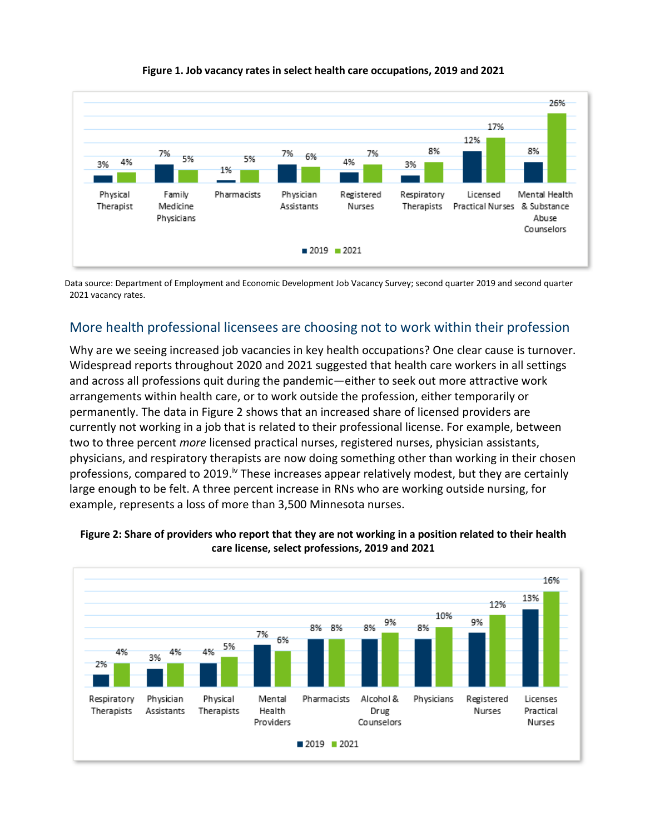

**Figure 1. Job vacancy rates in select health care occupations, 2019 and 2021**

Data source: Department of Employment and Economic Development Job Vacancy Survey; second quarter 2019 and second quarter 2021 vacancy rates.

#### More health professional licensees are choosing not to work within their profession

Why are we seeing increased job vacancies in key health occupations? One clear cause is turnover. Widespread reports throughout 2020 and 2021 suggested that health care workers in all settings and across all professions quit during the pandemic—either to seek out more attractive work arrangements within health care, or to work outside the profession, either temporarily or permanently. The data in Figure 2 shows that an increased share of licensed providers are currently not working in a job that is related to their professional license. For example, between two to three percent *more* licensed practical nurses, registered nurses, physician assistants, physicians, and respiratory therapists are now doing something other than working in their chosen professions, compared to 2019.<sup>iv</sup> These increases appear relatively modest, but they are certainly large enough to be felt. A three percent increase in RNs who are working outside nursing, for example, represents a loss of more than 3,500 Minnesota nurses.



**Figure 2: Share of providers who report that they are not working in a position related to their health care license, select professions, 2019 and 2021**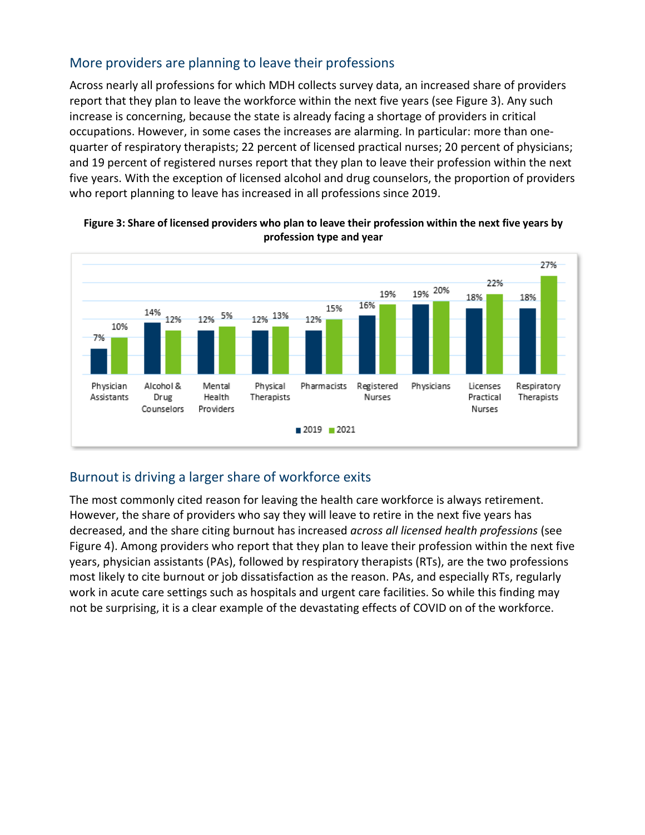### More providers are planning to leave their professions

Across nearly all professions for which MDH collects survey data, an increased share of providers report that they plan to leave the workforce within the next five years (see Figure 3). Any such increase is concerning, because the state is already facing a shortage of providers in critical occupations. However, in some cases the increases are alarming. In particular: more than onequarter of respiratory therapists; 22 percent of licensed practical nurses; 20 percent of physicians; and 19 percent of registered nurses report that they plan to leave their profession within the next five years. With the exception of licensed alcohol and drug counselors, the proportion of providers who report planning to leave has increased in all professions since 2019.



#### **Figure 3: Share of licensed providers who plan to leave their profession within the next five years by profession type and year**

## Burnout is driving a larger share of workforce exits

The most commonly cited reason for leaving the health care workforce is always retirement. However, the share of providers who say they will leave to retire in the next five years has decreased, and the share citing burnout has increased *across all licensed health professions* (see Figure 4). Among providers who report that they plan to leave their profession within the next five years, physician assistants (PAs), followed by respiratory therapists (RTs), are the two professions most likely to cite burnout or job dissatisfaction as the reason. PAs, and especially RTs, regularly work in acute care settings such as hospitals and urgent care facilities. So while this finding may not be surprising, it is a clear example of the devastating effects of COVID on of the workforce.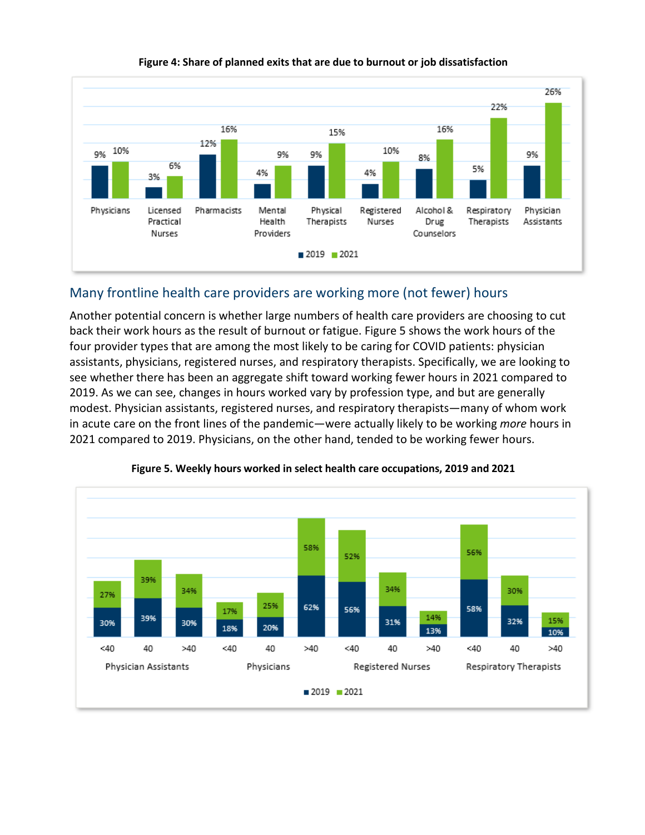

#### **Figure 4: Share of planned exits that are due to burnout or job dissatisfaction**

#### Many frontline health care providers are working more (not fewer) hours

Another potential concern is whether large numbers of health care providers are choosing to cut back their work hours as the result of burnout or fatigue. Figure 5 shows the work hours of the four provider types that are among the most likely to be caring for COVID patients: physician assistants, physicians, registered nurses, and respiratory therapists. Specifically, we are looking to see whether there has been an aggregate shift toward working fewer hours in 2021 compared to 2019. As we can see, changes in hours worked vary by profession type, and but are generally modest. Physician assistants, registered nurses, and respiratory therapists—many of whom work in acute care on the front lines of the pandemic—were actually likely to be working *more* hours in 2021 compared to 2019. Physicians, on the other hand, tended to be working fewer hours.



**Figure 5. Weekly hours worked in select health care occupations, 2019 and 2021**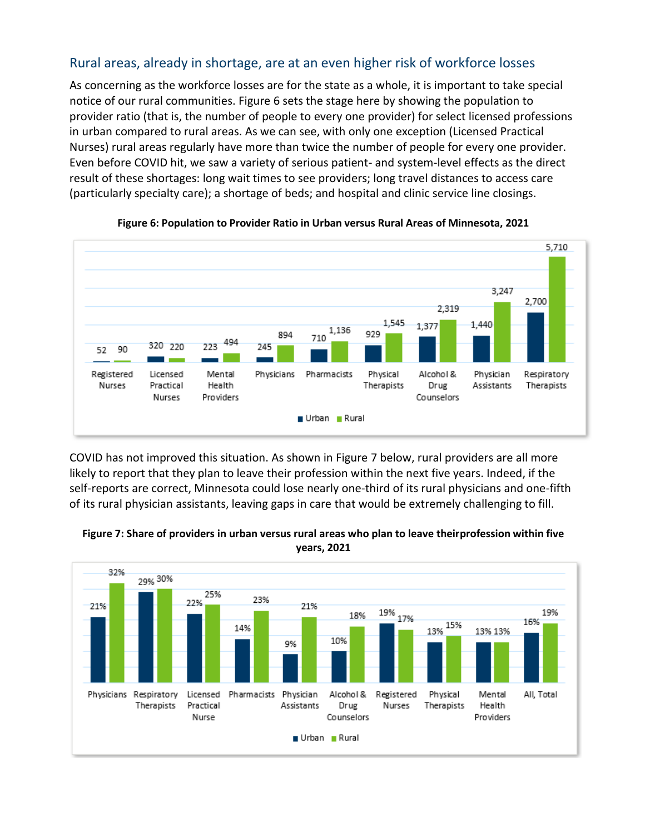#### Rural areas, already in shortage, are at an even higher risk of workforce losses

As concerning as the workforce losses are for the state as a whole, it is important to take special notice of our rural communities. Figure 6 sets the stage here by showing the population to provider ratio (that is, the number of people to every one provider) for select licensed professions in urban compared to rural areas. As we can see, with only one exception (Licensed Practical Nurses) rural areas regularly have more than twice the number of people for every one provider. Even before COVID hit, we saw a variety of serious patient- and system-level effects as the direct result of these shortages: long wait times to see providers; long travel distances to access care (particularly specialty care); a shortage of beds; and hospital and clinic service line closings.



**Figure 6: Population to Provider Ratio in Urban versus Rural Areas of Minnesota, 2021**

COVID has not improved this situation. As shown in Figure 7 below, rural providers are all more likely to report that they plan to leave their profession within the next five years. Indeed, if the self-reports are correct, Minnesota could lose nearly one-third of its rural physicians and one-fifth of its rural physician assistants, leaving gaps in care that would be extremely challenging to fill.



**Figure 7: Share of providers in urban versus rural areas who plan to leave their profession within five years, 2021**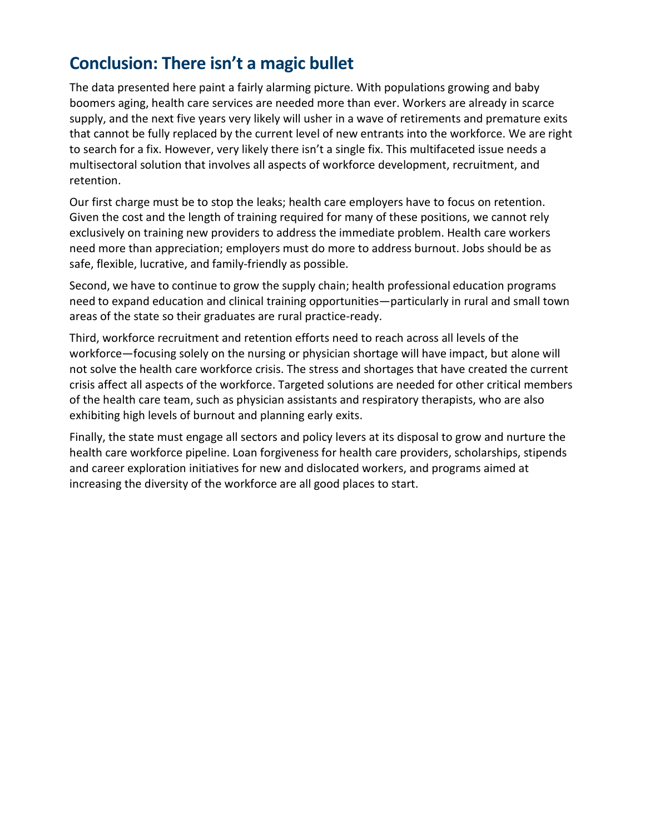## **Conclusion: There isn't a magic bullet**

The data presented here paint a fairly alarming picture. With populations growing and baby boomers aging, health care services are needed more than ever. Workers are already in scarce supply, and the next five years very likely will usher in a wave of retirements and premature exits that cannot be fully replaced by the current level of new entrants into the workforce. We are right to search for a fix. However, very likely there isn't a single fix. This multifaceted issue needs a multisectoral solution that involves all aspects of workforce development, recruitment, and retention.

Our first charge must be to stop the leaks; health care employers have to focus on retention. Given the cost and the length of training required for many of these positions, we cannot rely exclusively on training new providers to address the immediate problem. Health care workers need more than appreciation; employers must do more to address burnout. Jobs should be as safe, flexible, lucrative, and family-friendly as possible.

Second, we have to continue to grow the supply chain; health professional education programs need to expand education and clinical training opportunities—particularly in rural and small town areas of the state so their graduates are rural practice-ready.

Third, workforce recruitment and retention efforts need to reach across all levels of the workforce—focusing solely on the nursing or physician shortage will have impact, but alone will not solve the health care workforce crisis. The stress and shortages that have created the current crisis affect all aspects of the workforce. Targeted solutions are needed for other critical members of the health care team, such as physician assistants and respiratory therapists, who are also exhibiting high levels of burnout and planning early exits.

Finally, the state must engage all sectors and policy levers at its disposal to grow and nurture the health care workforce pipeline. Loan forgiveness for health care providers, scholarships, stipends and career exploration initiatives for new and dislocated workers, and programs aimed at increasing the diversity of the workforce are all good places to start.